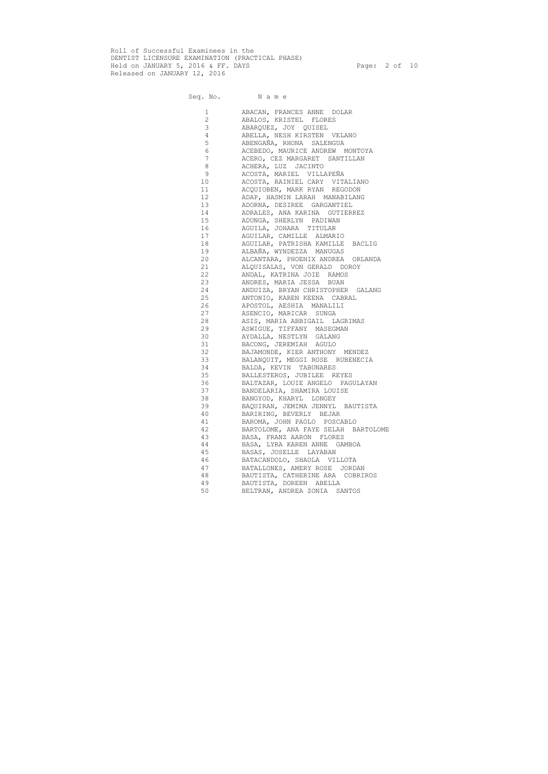Roll of Successful Examinees in the DENTIST LICENSURE EXAMINATION (PRACTICAL PHASE) Held on JANUARY 5, 2016 & FF. DAYS Page: 2 of 10 Released on JANUARY 12, 2016

Seq. No. Name

 1 ABACAN, FRANCES ANNE DOLAR 2 ABALOS, KRISTEL FLORES 3 ABARQUEZ, JOY QUISEL 4 ABELLA, NESH KIRSTEN VELANO 5 ABENGAÑA, RHONA SALENGUA 6 ACEBEDO, MAURICE ANDREW MONTOYA 7 ACERO, CEZ MARGARET SANTILLAN 8 ACHERA, LUZ JACINTO 9 ACOSTA, MARIEL VILLAPEÑA 10 ACOSTA, RAINIEL CARY VITALIANO 11 ACQUIOBEN, MARK RYAN REGODON 12 ADAP, HASMIN LARAH MANABILANG 13 ADORNA, DESIREE GARGANTIEL 14 ADRALES, ANA KARINA GUTIERREZ 15 ADUNGA, SHERLYN PADIWAN 16 AGUILA, JOHARA TITULAR 17 AGUILAR, CAMILLE ALMARIO 18 AGUILAR, PATRISHA KAMILLE BACLIG 19 ALBAÑA, WYNDEZZA MANUGAS 20 ALCANTARA, PHOENIX ANDREA ORLANDA 21 ALQUISALAS, VON GERALD DOROY 22 ANDAL, KATRINA JOIE RAMOS 23 ANDRES, MARIA JESSA BUAN 24 ANDUIZA, BRYAN CHRISTOPHER GALANG 25 ANTONIO, KAREN KEENA CABRAL 26 APOSTOL, AESHIA MANALILI 27 ASENCIO, MARICAR SUNGA 28 ASIS, MARIA ABBIGAIL LAGRIMAS 29 ASWIGUE, TIFFANY MASEGMAN 30 AYDALLA, NESTLYN GALANG 31 BACONG, JEREMIAH AGULO 32 BAJAMONDE, KIER ANTHONY MENDEZ 33 BALANQUIT, MEGGI ROSE RUBENECIA 34 BALDA, KEVIN TABUNARES 35 BALLESTEROS, JUBILEE REYES 36 BALTAZAR, LOUIE ANGELO PAGULAYAN 37 BANDELARIA, SHAMIRA LOUISE 38 BANGYOD, KHARYL LONGEY 39 BAQUIRAN, JEMIMA JENNYL BAUTISTA 40 BARIRING, BEVERLY BEJAR 41 BAROMA, JOHN PAOLO POSCABLO 42 BARTOLOME, ANA FAYE SELAH BARTOLOME 43 BASA, FRANZ AARON FLORES 44 BASA, LYRA KAREN ANNE GAMBOA 45 BASAS, JOSELLE LAYABAN 46 BATACANDOLO, SHAOLA VILLOTA 47 BATALLONES, AMERY ROSE JORDAN 48 BAUTISTA, CATHERINE ARA COBRIROS 49 BAUTISTA, DOREEN ABELLA 50 BELTRAN, ANDREA ZONIA SANTOS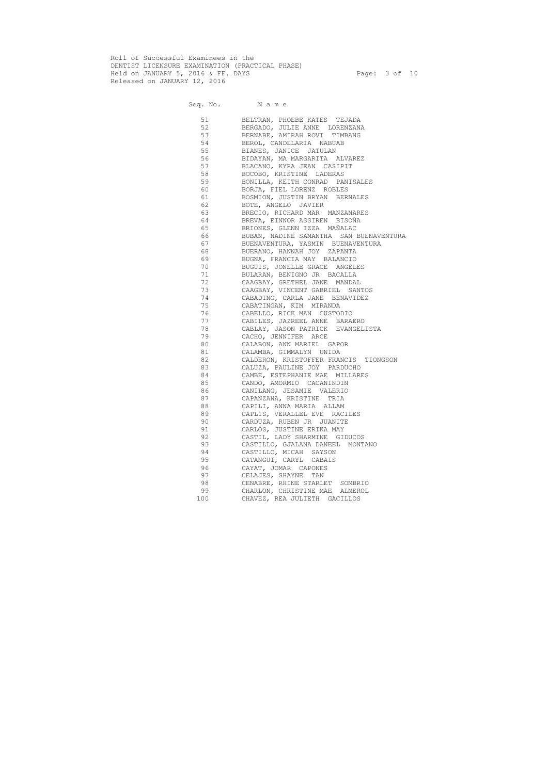Roll of Successful Examinees in the DENTIST LICENSURE EXAMINATION (PRACTICAL PHASE) Held on JANUARY 5, 2016 & FF. DAYS Page: 3 of 10 Released on JANUARY 12, 2016

Seq. No. Name 51 BELTRAN, PHOEBE KATES TEJADA 52 BERGADO, JULIE ANNE LORENZANA 53 BERNABE, AMIRAH ROVI TIMBANG<br>54 BEROL, CANDELARIA NABUAB 54 BEROL, CANDELARIA NABUAB 55 BIANES, JANICE JATULAN 56 BIDAYAN, MA MARGARITA ALVAREZ 57 BLACANO, KYRA JEAN CASIPIT 58 BOCOBO, KRISTINE LADERAS 59 BONILLA, KEITH CONRAD PANISALES 60 BORJA, FIEL LORENZ ROBLES 61 BOSMION, JUSTIN BRYAN BERNALES 62 BOTE, ANGELO JAVIER 63 BRECIO, RICHARD MAR MANZANARES 64 BREVA, EINNOR ASSIREN BISOÑA 65 BRIONES, GLENN IZZA MAÑALAC 66 BUBAN, NADINE SAMANTHA SAN BUENAVENTURA 67 BUENAVENTURA, YASMIN BUENAVENTURA 68 BUERANO, HANNAH JOY ZAPANTA 69 BUGNA, FRANCIA MAY BALANCIO 70 BUGUIS, JONELLE GRACE ANGELES 71 BULARAN, BENIGNO JR BACALLA 72 CAAGBAY, GRETHEL JANE MANDAL 73 CAAGBAY, VINCENT GABRIEL SANTOS 74 CABADING, CARLA JANE BENAVIDEZ 75 CABATINGAN, KIM MIRANDA 76 CABELLO, RICK MAN CUSTODIO 77 CABILES, JAZREEL ANNE BARAERO 78 CABLAY, JASON PATRICK EVANGELISTA 79 CACHO, JENNIFER ARCE 80 CALABON, ANN MARIEL GAPOR 81 CALAMBA, GIMMALYN UNIDA 82 CALDERON, KRISTOFFER FRANCIS TIONGSON 83 CALUZA, PAULINE JOY PARDUCHO<br>84 CAMBE, ESTEPHANIE MAE MILLARE CAMBE, ESTEPHANIE MAE MILLARES 85 CANDO, AMORMIO CACANINDIN 86 CANILANG, JESAMIE VALERIO 87 CAPANZANA, KRISTINE TRIA 88 CAPILI, ANNA MARIA ALLAM 89 CAPLIS, VERALLEL EVE RACILES 90 CARDUZA, RUBEN JR JUANITE 91 CARLOS, JUSTINE ERIKA MAY 92 CASTIL, LADY SHARMINE GIDUCOS 93 CASTILLO, GJALANA DANEEL MONTANO 94 CASTILLO, MICAH SAYSON 95 CATANGUI, CARYL CABAIS 96 CAYAT, JOMAR CAPONES 97 CELAJES, SHAYNE TAN 98 CENABRE, RHINE STARLET SOMBRIO 99 CHARLON, CHRISTINE MAE ALMEROL 100 CHAVEZ, REA JULIETH GACILLOS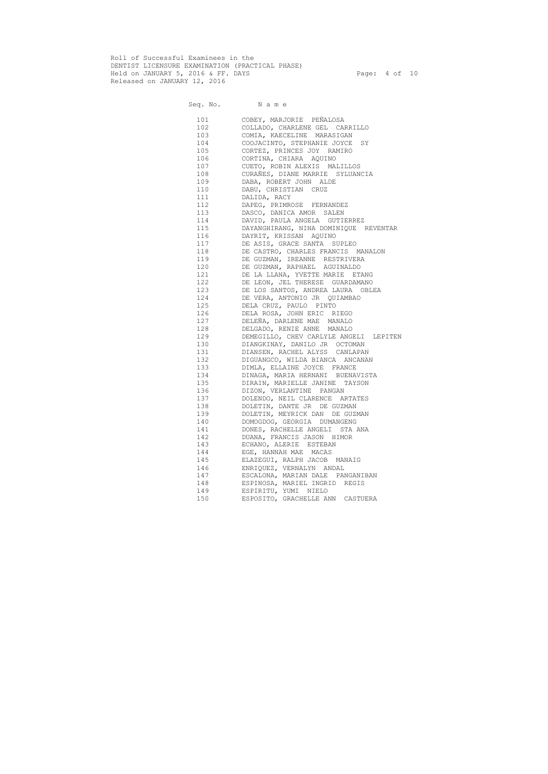Roll of Successful Examinees in the DENTIST LICENSURE EXAMINATION (PRACTICAL PHASE) Held on JANUARY 5, 2016 & FF. DAYS Page: 4 of 10 Released on JANUARY 12, 2016

Seq. No. Name 101 COBEY, MARJORIE PEÑALOSA 102 COLLADO, CHARLENE GEL CARRILLO 103 COMIA, KAECELINE MARASIGAN 104 COOJACINTO, STEPHANIE JOYCE SY 105 CORTEZ, PRINCES JOY RAMIRO 106 CORTINA, CHIARA AQUINO 107 CUETO, ROBIN ALEXIS MALILLOS 108 CURAÑES, DIANE MARRIE SYLUANCIA 109 DABA, ROBERT JOHN ALDE 110 DABU, CHRISTIAN CRUZ 111 DALIDA, RACY 112 DAPEG, PRIMROSE FERNANDEZ 113 DASCO, DANICA AMOR SALEN 114 DAVID, PAULA ANGELA GUTIERREZ 115 DAYANGHIRANG, NINA DOMINIQUE REVENTAR 116 DAYRIT, KRISSAN AQUINO 117 DE ASIS, GRACE SANTA SUPLEO 118 DE CASTRO, CHARLES FRANCIS MANALON 119 DE GUZMAN, IREANNE RESTRIVERA 120 DE GUZMAN, RAPHAEL AGUINALDO 121 DE LA LLANA, YVETTE MARIE ETANG 122 DE LEON, JEL THERESE GUARDAMANO 123 DE LOS SANTOS, ANDREA LAURA OBLEA 124 DE VERA, ANTONIO JR QUIAMBAO 125 DELA CRUZ, PAULO PINTO 126 DELA ROSA, JOHN ERIC RIEGO 127 DELEÑA, DARLENE MAE MANALO 128 DELGADO, RENIE ANNE MANALO 129 DEMEGILLO, CHEV CARLYLE ANGELI LEPITEN 130 DIANGKINAY, DANILO JR OCTOMAN 131 DIANSEN, RACHEL ALYSS CANLAPAN 132 DIGUANGCO, WILDA BIANCA ANCANAN 133 DIMLA, ELLAINE JOYCE FRANCE 134 DINAGA, MARIA HERNANI BUENAVISTA 135 DIRAIN, MARIELLE JANINE TAYSON 136 DIZON, VERLANTINE PANGAN 137 DOLENDO, NEIL CLARENCE ARTATES 138 DOLETIN, DANTE JR DE GUZMAN 139 DOLETIN, MEYRICK DAN DE GUZMAN 140 DOMOGDOG, GEORGIA DUMANGENG 141 DONES, RACHELLE ANGELI STA ANA 142 DUANA, FRANCIS JASON HIMOR 143 ECHANO, ALERIE ESTEBAN 144 EGE, HANNAH MAE MACAS 145 ELAZEGUI, RALPH JACOB MANAIG 146 ENRIQUEZ, VERNALYN ANDAL 147 ESCALONA, MARIAN DALE PANGANIBAN 148 ESPINOSA, MARIEL INGRID REGIS 149 ESPIRITU, YUMI NIELO

150 ESPOSITO, GRACHELLE ANN CASTUERA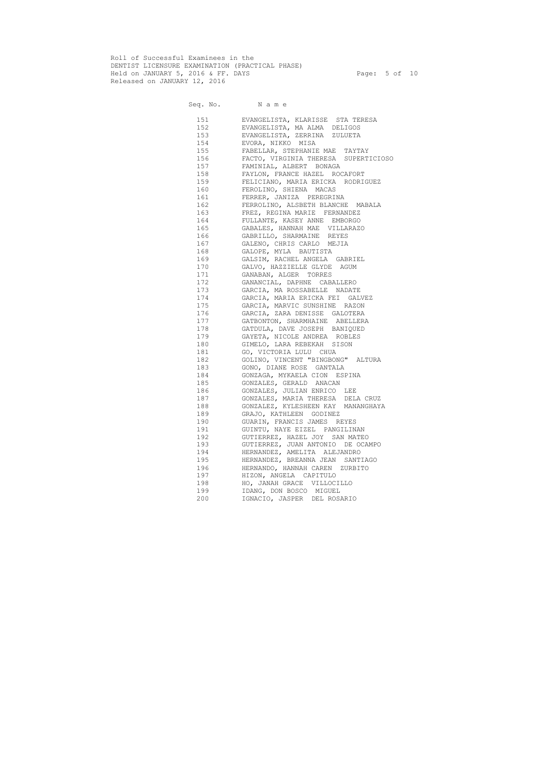Roll of Successful Examinees in the DENTIST LICENSURE EXAMINATION (PRACTICAL PHASE) Held on JANUARY 5, 2016 & FF. DAYS Page: 5 of 10 Released on JANUARY 12, 2016

Seq. No. Name 151 EVANGELISTA, KLARISSE STA TERESA 152 EVANGELISTA, MA ALMA DELIGOS 153 EVANGELISTA, ZERRINA ZULUETA 154 EVORA, NIKKO MISA 155 FABELLAR, STEPHANIE MAE TAYTAY 156 FACTO, VIRGINIA THERESA SUPERTICIOSO 157 FAMINIAL, ALBERT BONAGA 158 FAYLON, FRANCE HAZEL ROCAFORT 159 FELICIANO, MARIA ERICKA RODRIGUEZ 160 FEROLINO, SHIENA MACAS 161 FERRER, JANIZA PEREGRINA 162 FERROLINO, ALSBETH BLANCHE MABALA 163 FREZ, REGINA MARIE FERNANDEZ 164 FULLANTE, KASEY ANNE EMBORGO 165 GABALES, HANNAH MAE VILLARAZO 166 GABRILLO, SHARMAINE REYES 167 GALENO, CHRIS CARLO MEJIA 168 GALOPE, MYLA BAUTISTA 169 GALSIM, RACHEL ANGELA GABRIEL 170 GALVO, HAZZIELLE GLYDE AGUM 171 GANABAN, ALGER TORRES 172 GANANCIAL, DAPHNE CABALLERO 173 GARCIA, MA ROSSABELLE NADATE 174 GARCIA, MARIA ERICKA FEI GALVEZ 175 GARCIA, MARVIC SUNSHINE RAZON 176 GARCIA, ZARA DENISSE GALOTERA 177 GATBONTON, SHARMHAINE ABELLERA 178 GATDULA, DAVE JOSEPH BANIQUED 179 GAYETA, NICOLE ANDREA ROBLES 180 GIMELO, LARA REBEKAH SISON 181 GO, VICTORIA LULU CHUA 182 GOLINO, VINCENT "BINGBONG" ALTURA 183 GONO, DIANE ROSE GANTALA 184 GONZAGA, MYKAELA CION ESPINA 185 GONZALES, GERALD ANACAN 186 GONZALES, JULIAN ENRICO LEE 187 GONZALES, MARIA THERESA DELA CRUZ 188 GONZALEZ, KYLESHEEN KAY MANANGHAYA 189 GRAJO, KATHLEEN GODINEZ 190 GUARIN, FRANCIS JAMES REYES 191 GUINTU, NAYE EIZEL PANGILINAN 192 GUTIERREZ, HAZEL JOY SAN MATEO 193 GUTIERREZ, JUAN ANTONIO DE OCAMPO 194 HERNANDEZ, AMELITA ALEJANDRO 195 HERNANDEZ, BREANNA JEAN SANTIAGO 196 HERNANDO, HANNAH CAREN ZURBITO 197 HIZON, ANGELA CAPITULO 198 HO, JANAH GRACE VILLOCILLO 199 IDANG, DON BOSCO MIGUEL 200 IGNACIO, JASPER DEL ROSARIO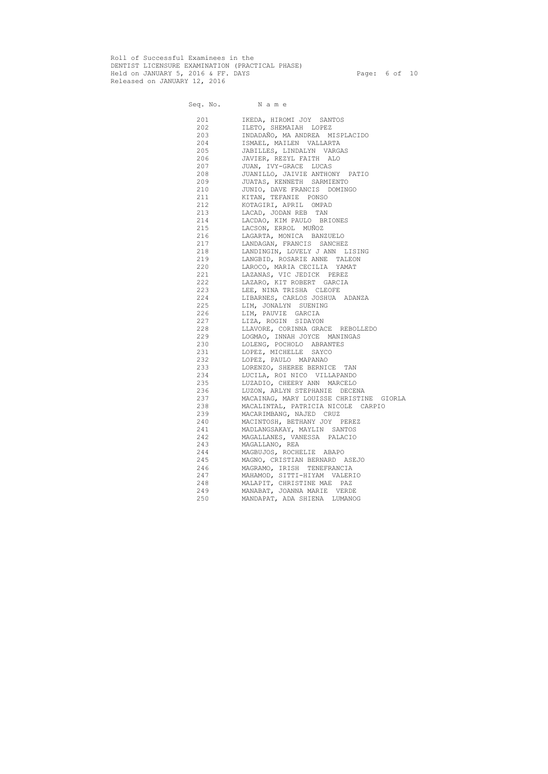Roll of Successful Examinees in the DENTIST LICENSURE EXAMINATION (PRACTICAL PHASE) Held on JANUARY 5, 2016 & FF. DAYS Page: 6 of 10 Released on JANUARY 12, 2016

Seq. No. Name 201 IKEDA, HIROMI JOY SANTOS 202 ILETO, SHEMAIAH LOPEZ 203 INDADAÑO, MA ANDREA MISPLACIDO 204 ISMAEL, MAILEN VALLARTA 205 JABILLES, LINDALYN VARGAS 206 JAVIER, REZYL FAITH ALO 207 JUAN, IVY-GRACE LUCAS 208 JUANILLO, JAIVIE ANTHONY PATIO 209 JUATAS, KENNETH SARMIENTO 210 JUNIO, DAVE FRANCIS DOMINGO 211 KITAN, TEFANIE PONSO 212 KOTAGIRI, APRIL OMPAD 213 LACAD, JODAN REB TAN 214 LACDAO, KIM PAULO BRIONES 215 LACSON, ERROL MUÑOZ 216 LAGARTA, MONICA BANZUELO 217 LANDAGAN, FRANCIS SANCHEZ 218 LANDINGIN, LOVELY J ANN LISING 219 LANGBID, ROSARIE ANNE TALEON 220 LAROCO, MARIA CECILIA YAMAT 221 LAZANAS, VIC JEDICK PEREZ 222 LAZARO, KIT ROBERT GARCIA 223 LEE, NINA TRISHA CLEOFE 224 LIBARNES, CARLOS JOSHUA ADANZA 225 LIM, JONALYN SUENING 226 LIM, PAUVIE GARCIA 227 LIZA, ROGIN SIDAYON 228 LLAVORE, CORINNA GRACE REBOLLEDO 229 LOGMAO, INNAH JOYCE MANINGAS 230 LOLENG, POCHOLO ABRANTES 231 LOPEZ, MICHELLE SAYCO 232 LOPEZ, PAULO MAPANAO 233 LORENZO, SHEREE BERNICE TAN 234 LUCILA, ROI NICO VILLAPANDO 235 LUZADIO, CHEERY ANN MARCELO 236 LUZON, ARLYN STEPHANIE DECENA 237 MACAINAG, MARY LOUISSE CHRISTINE GIORLA 238 MACALINTAL, PATRICIA NICOLE CARPIO 239 MACARIMBANG, NAJED CRUZ 240 MACINTOSH, BETHANY JOY PEREZ 241 MADLANGSAKAY, MAYLIN SANTOS 242 MAGALLANES, VANESSA PALACIO 243 MAGALLANO, REA 244 MAGBUJOS, ROCHELIE ABAPO 245 MAGNO, CRISTIAN BERNARD ASEJO 246 MAGRAMO, IRISH TENEFRANCIA 247 MAHAMOD, SITTI-HIYAM VALERIO 248 MALAPIT, CHRISTINE MAE PAZ 249 MANABAT, JOANNA MARIE VERDE 250 MANDAPAT, ADA SHIENA LUMANOG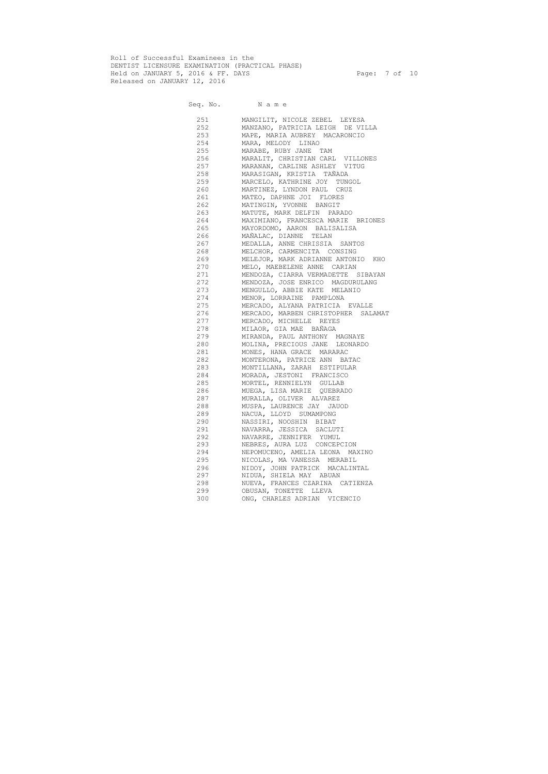Roll of Successful Examinees in the DENTIST LICENSURE EXAMINATION (PRACTICAL PHASE) Held on JANUARY 5, 2016 & FF. DAYS Page: 7 of 10 Released on JANUARY 12, 2016

Seq. No. Name 251 MANGILIT, NICOLE ZEBEL LEYESA 252 MANZANO, PATRICIA LEIGH DE VILLA 253 MAPE, MARIA AUBREY MACARONCIO 254 MARA, MELODY LINAO 255 MARABE, RUBY JANE TAM 256 MARALIT, CHRISTIAN CARL VILLONES 257 MARANAN, CARLINE ASHLEY VITUG 258 MARASIGAN, KRISTIA TAÑADA 259 MARCELO, KATHRINE JOY TUNGOL 260 MARTINEZ, LYNDON PAUL CRUZ 261 MATEO, DAPHNE JOI FLORES 262 MATINGIN, YVONNE BANGIT 263 MATUTE, MARK DELFIN PARADO 264 MAXIMIANO, FRANCESCA MARIE BRIONES 265 MAYORDOMO, AARON BALISALISA 266 MAÑALAC, DIANNE TELAN 267 MEDALLA, ANNE CHRISSIA SANTOS 268 MELCHOR, CARMENCITA CONSING 269 MELEJOR, MARK ADRIANNE ANTONIO KHO 270 MELO, MAEBELENE ANNE CARIAN 271 MENDOZA, CIARRA VERMADETTE SIBAYAN 272 MENDOZA, JOSE ENRICO MAGDURULANG 273 MENGULLO, ABBIE KATE MELANIO 274 MENOR, LORRAINE PAMPLONA 275 MERCADO, ALYANA PATRICIA EVALLE 276 MERCADO, MARBEN CHRISTOPHER SALAMAT 277 MERCADO, MICHELLE REYES 278 MILAOR, GIA MAE BAÑAGA 279 MIRANDA, PAUL ANTHONY MAGNAYE 280 MOLINA, PRECIOUS JANE LEONARDO 281 MONES, HANA GRACE MARARAC 282 MONTERONA, PATRICE ANN BATAC 283 MONTILLANA, ZARAH ESTIPULAR 284 MORADA, JESTONI FRANCISCO 285 MORTEL, RENNIELYN GULLAB 286 MUEGA, LISA MARIE QUEBRADO 287 MURALLA, OLIVER ALVAREZ 288 MUSPA, LAURENCE JAY JAUOD 289 NACUA, LLOYD SUMAMPONG 290 NASSIRI, NOOSHIN BIBAT 291 NAVARRA, JESSICA SACLUTI 292 NAVARRE, JENNIFER YUMUL 293 NEBRES, AURA LUZ CONCEPCION 294 NEPOMUCENO, AMELIA LEONA MAXINO 295 NICOLAS, MA VANESSA MERABIL 296 NIDOY, JOHN PATRICK MACALINTAL 297 NIDUA, SHIELA MAY ABUAN 298 NUEVA, FRANCES CZARINA CATIENZA 299 OBUSAN, TONETTE LLEVA 300 ONG, CHARLES ADRIAN VICENCIO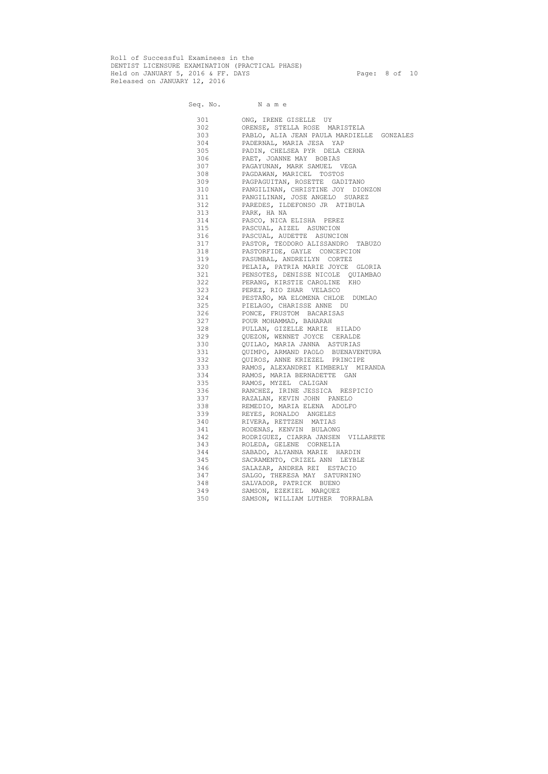Roll of Successful Examinees in the DENTIST LICENSURE EXAMINATION (PRACTICAL PHASE) Held on JANUARY 5, 2016 & FF. DAYS FREED Page: 8 of 10 Released on JANUARY 12, 2016

| Seq. No. | Name                                      |
|----------|-------------------------------------------|
| 301      | ONG, IRENE GISELLE UY                     |
| 302      | ORENSE, STELLA ROSE MARISTELA             |
| 303      | PABLO, ALIA JEAN PAULA MARDIELLE GONZALES |
| 304      | PADERNAL, MARIA JESA YAP                  |
| 305      | PADIN, CHELSEA PYR DELA CERNA             |
| 306      | PAET, JOANNE MAY BOBIAS                   |
| 307      | PAGAYUNAN, MARK SAMUEL VEGA               |
| 308      | PAGDAWAN, MARICEL TOSTOS                  |
| 309      | PAGPAGUITAN, ROSETTE GADITANO             |
| 310      | PANGILINAN, CHRISTINE JOY DIONZON         |
| 311      | PANGILINAN, JOSE ANGELO SUAREZ            |
| 312      | PAREDES, ILDEFONSO JR ATIBULA             |
| 313      | PARK, HA NA                               |
| 314      | PASCO, NICA ELISHA PEREZ                  |
| 315      | PASCUAL, AIZEL ASUNCION                   |
| 316      | PASCUAL, AUDETTE ASUNCION                 |
| 317      | PASTOR, TEODORO ALISSANDRO TABUZO         |
| 318      | PASTORFIDE, GAYLE CONCEPCION              |
| 319      | PASUMBAL, ANDREILYN CORTEZ                |
| 320      | PELAIA, PATRIA MARIE JOYCE GLORIA         |
| 321      | PENSOTES, DENISSE NICOLE QUIAMBAO         |
| 322      | PERANG, KIRSTIE CAROLINE KHO              |
| 323      | PEREZ, RIO ZHAR VELASCO                   |
| 324      |                                           |
|          | PESTAÑO, MA ELOMENA CHLOE DUMLAO          |
| 325      | PIELAGO, CHARISSE ANNE DU                 |
| 326      | PONCE, FRUSTOM BACARISAS                  |
| 327      | POUR MOHAMMAD, BAHARAH                    |
| 328      | PULLAN, GIZELLE MARIE HILADO              |
| 329      | QUEZON, WENNET JOYCE CERALDE              |
| 330      | QUILAO, MARIA JANNA ASTURIAS              |
| 331      | QUIMPO, ARMAND PAOLO BUENAVENTURA         |
| 332      | QUIROS, ANNE KRIEZEL PRINCIPE             |
| 333      | RAMOS, ALEXANDREI KIMBERLY MIRANDA        |
| 334      | RAMOS, MARIA BERNADETTE GAN               |
| 335      | RAMOS, MYZEL CALIGAN                      |
| 336      | RANCHEZ, IRINE JESSICA RESPICIO           |
| 337      | RAZALAN, KEVIN JOHN PANELO                |
| 338      | REMEDIO, MARIA ELENA ADOLFO               |
| 339      | REYES, RONALDO ANGELES                    |
| 340      | RIVERA, RETTZEN MATIAS                    |
| 341      | RODENAS, KENVIN BULAONG                   |
| 342      | RODRIGUEZ, CIARRA JANSEN VILLARETE        |
| 343      | ROLEDA, GELENE CORNELIA                   |
| 344      | SABADO, ALYANNA MARIE HARDIN              |
| 345      | SACRAMENTO, CRIZEL ANN LEYBLE             |
| 346      | SALAZAR, ANDREA REI ESTACIO               |
| 347      | SALGO, THERESA MAY SATURNINO              |
| 348      | SALVADOR, PATRICK BUENO                   |
| 349      | SAMSON, EZEKIEL MARQUEZ                   |
| 350      | SAMSON, WILLIAM LUTHER TORRALBA           |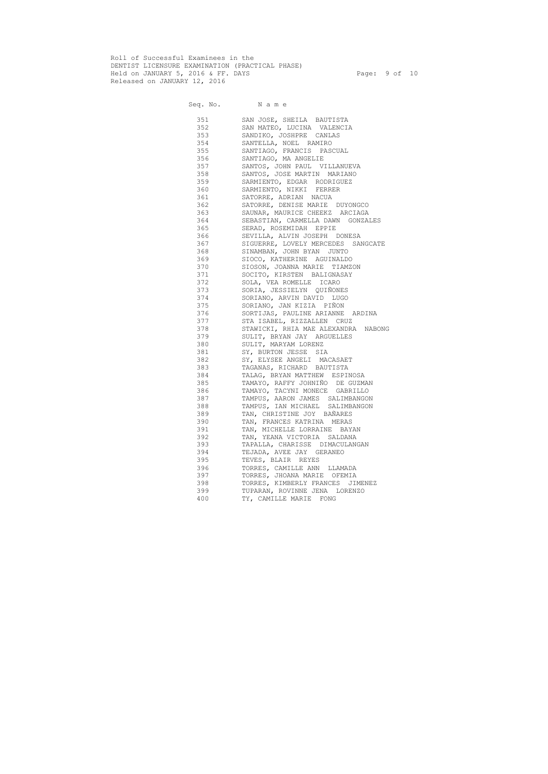Roll of Successful Examinees in the DENTIST LICENSURE EXAMINATION (PRACTICAL PHASE) Held on JANUARY 5, 2016 & FF. DAYS Page: 9 of 10 Released on JANUARY 12, 2016

Seq. No. Name 351 SAN JOSE, SHEILA BAUTISTA 352 SAN MATEO, LUCINA VALENCIA 353 SANDIKO, JOSHPRE CANLAS 354 SANTELLA, NOEL RAMIRO 355 SANTIAGO, FRANCIS PASCUAL 356 SANTIAGO, MA ANGELIE 357 SANTOS, JOHN PAUL VILLANUEVA 358 SANTOS, JOSE MARTIN MARIANO 359 SARMIENTO, EDGAR RODRIGUEZ 360 SARMIENTO, NIKKI FERRER 361 SATORRE, ADRIAN NACUA 362 SATORRE, DENISE MARIE DUYONGCO 363 SAUNAR, MAURICE CHEEKZ ARCIAGA 364 SEBASTIAN, CARMELLA DAWN GONZALES 365 SERAD, ROSEMIDAH EPPIE 366 SEVILLA, ALVIN JOSEPH DONESA 367 SIGUERRE, LOVELY MERCEDES SANGCATE 368 SINAMBAN, JOHN BYAN JUNTO 369 SIOCO, KATHERINE AGUINALDO 370 SIOSON, JOANNA MARIE TIAMZON 371 SOCITO, KIRSTEN BALIGNASAY 372 SOLA, VEA ROMELLE ICARO 373 SORIA, JESSIELYN QUIÑONES 374 SORIANO, ARVIN DAVID LUGO 375 SORIANO, JAN KIZIA PIÑON 376 SORTIJAS, PAULINE ARIANNE ARDINA 377 STA ISABEL, RIZZALLEN CRUZ 378 STAWICKI, RHIA MAE ALEXANDRA NABONG 379 SULIT, BRYAN JAY ARGUELLES 380 SULIT, MARYAM LORENZ 381 SY, BURTON JESSE SIA 382 SY, ELYSEE ANGELI MACASAET 383 TAGANAS, RICHARD BAUTISTA 384 TALAG, BRYAN MATTHEW ESPINOSA 385 TAMAYO, RAFFY JOHNIÑO DE GUZMAN 386 TAMAYO, TACYNI MONECE GABRILLO 387 TAMPUS, AARON JAMES SALIMBANGON 388 TAMPUS, IAN MICHAEL SALIMBANGON 389 TAN, CHRISTINE JOY BAÑARES 390 TAN, FRANCES KATRINA MERAS 391 TAN, MICHELLE LORRAINE BAYAN 392 TAN, YEANA VICTORIA SALDANA 393 TAPALLA, CHARISSE DIMACULANGAN 394 TEJADA, AVEE JAY GERANEO 395 TEVES, BLAIR REYES 396 TORRES, CAMILLE ANN LLAMADA 397 TORRES, JHOANA MARIE OFEMIA 398 TORRES, KIMBERLY FRANCES JIMENEZ 399 TUPARAN, ROVINNE JENA LORENZO 400 TY, CAMILLE MARIE FONG